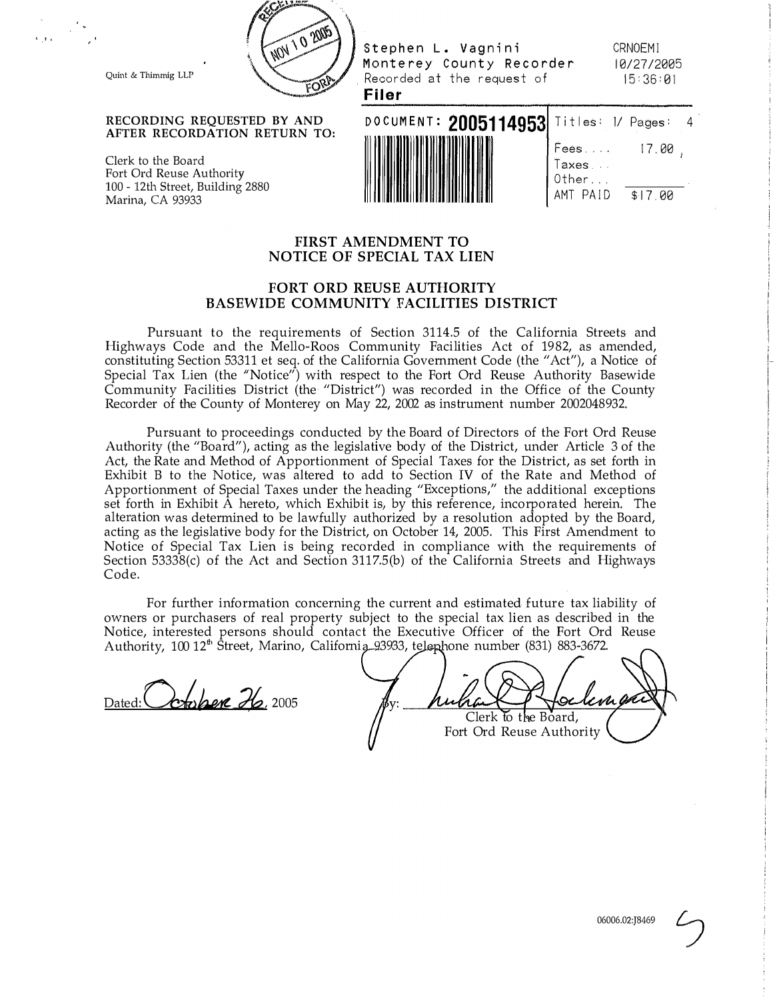

Quint & Thimmig LLP

## **RECORDING REQUESTED BY AND AFTER RECORDATION RETURN TO:**

Clerk to the Board Fort Ord Reuse Authority 100 - 12th Street, Building 2880 Marina, CA 93933



Stephen L. Vagnini

Monterey County Recorder Recorded at the request of

| Titles: 1/ Pages:      |         |
|------------------------|---------|
| Fees<br>Taxes<br>Other | 17.00   |
| AMT PAID               | \$17 00 |

# **FIRST AMENDMENT TO NOTICE OF SPECIAL TAX LIEN**

**Filer** 

# **FORT ORD REUSE AUTHORITY BASEWIDE COMMUNITY FACILITIES DISTRICT**

Pursuant to the requirements of Section 3114.5 of the California Streets and Highways Code and the Mello-Roos Community Facilities Act of 1982, as amended, constituting Section 53311 et seq. of the California Government Code (the "Act"), a Notice of Special Tax Lien (the <sup>1</sup> 'Notice") with respect to the Fort Ord Reuse Authority Basewide Community Facilities District (the "District") was recorded in the Office of the County Recorder of the County of Monterey on May 22, 2002 as instrument number 2002048932.

Pursuant to proceedings conducted by the Board of Directors of the Fort Ord Reuse Authority (the "Board"), acting as the legislative body of the District, under Article 3 of the Act, the Rate and Method of Apportionment of Special Taxes for the District, as set forth in Exhibit B to the Notice, was altered to add to Section IV of the Rate and Method of Apportionment of Special Taxes under the heading "Exceptions," the additional exceptions set forth in Exhibit A hereto, which Exhibit is, by this reference, incorporated herein. The alteration was determined to be lawfully authorized by a resolution adopted by the Board, acting as the legislative body for the District, on October 14, 2005. This First Amendment to Notice of Special Tax Lien is being recorded in compliance with the requirements of Section 53338(c) of the Act and Section 3117.5(b) of the California Streets and Highways Code.

For further information concerning the current and estimated future tax liability of owners or purchasers of real property subject to the special tax lien as described in the Notice, interested persons should contact the Executive Officer of the Fort Ord Reuse Authority, 100 12<sup>th</sup> Street, Marino, Californig 93933, telephone number (831) 883-3672.

Dated: October 26, 2005

 $\mathcal{U}$ Mr Clerk to the Board, Fort Ord Reuse Authority



10/27/2005

CRNOEMI

J5:36:0J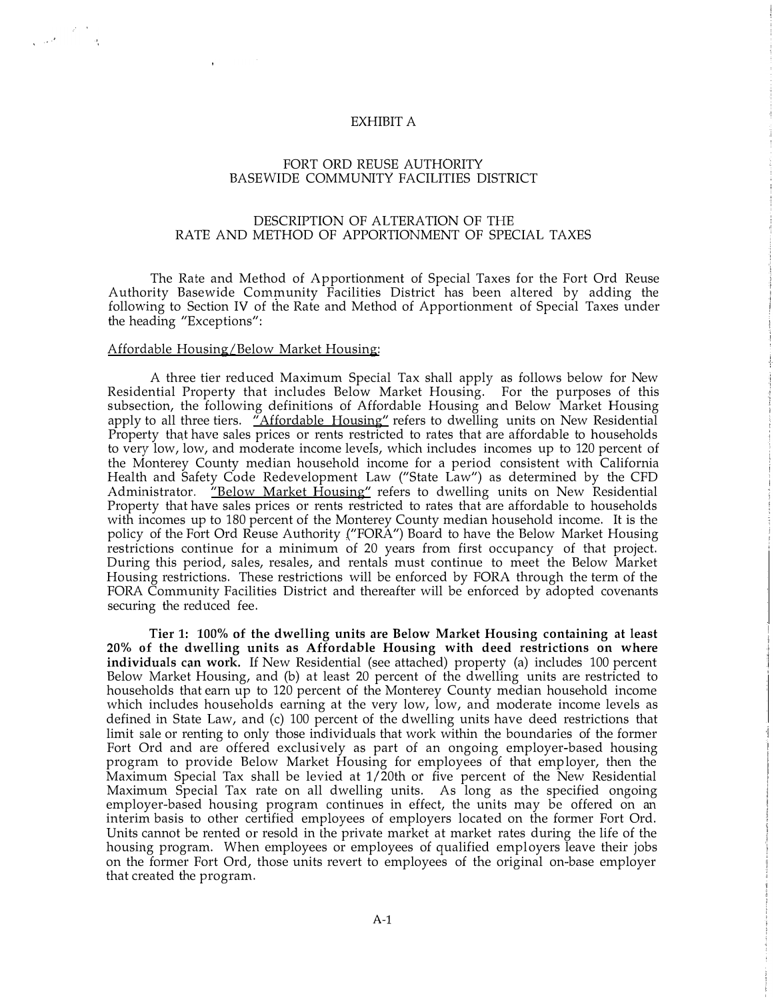#### EXHIBIT A

## FORT ORD REUSE AUTHORITY BASEWIDE COMMUNITY FACILITIES DISTRICT

# DESCRIPTION OF ALTERATION OF THE RATE AND METHOD OF APPORTIONMENT OF SPECIAL TAXES

The Rate and Method of Apportionment of Special Taxes for the Fort Ord Reuse Authority Basewide Community Facilities District has been altered by adding the following to Section IV of the Rate and Method of Apportionment of Special Taxes under the heading "Exceptions":

#### Affordable Housing/Below Market Housing:

 $\frac{1}{\sqrt{2\pi\sigma^2}}\frac{d^2\phi}{d\phi^2} = \frac{d^2\phi}{d\phi^2}.$ 

A three tier reduced Maximum Special Tax shall apply as follows below for New Residential Property that includes Below Market Housing. For the purposes of this subsection, the following definitions of Affordable Housing and Below Market Housing apply to all three tiers. "Affordable Housing" refers to dwelling units on New Residential Property that have sales prices or rents restricted to rates that are affordable to households to very low, low, and moderate income levels, which includes incomes up to 120 percent of the Monterey County median household income for a period consistent with California Health and Safety Code Redevelopment Law ("State Law") as determined by the CFD Administrator. **"Below Market Housing"** refers to dwelling units on New Residential Property that have sales prices or rents restricted to rates that are affordable to households with incomes up to 180 percent of the Monterey County median household income. It is the policy of the Fort Ord Reuse Authority ("FORA") Board to have the Below Market Housing restrictions continue for a minimum of 20 years from first occupancy of that project. During this period, sales, resales, and rentals must continue to meet the Below Market Housing restrictions. These restrictions will be enforced by FORA through the term of the FORA Community Facilities District and thereafter will be enforced by adopted covenants securing the reduced fee.

**Tier 1: 100% of the dwelling units are Below Market Housing containing at least 20% of the dwelling units as Affordable Housing with deed restrictions on where individuals can work.** If New Residential (see attached) property (a) includes 100 percent Below Market Housing, and (b) at least 20 percent of the dwelling units are restricted to households that earn up to 120 percent of the Monterey County median household income which includes households earning at the very low, low, and moderate income levels as defined in State Law, and (c) 100 percent of the dwelling units have deed restrictions that limit sale or renting to only those individuals that work within the boundaries of the former Fort Ord and are offered exclusively as part of an ongoing employer-based housing program to provide Below Market Housing for employees of that employer, then the Maximum Special Tax shall be levied at 1/20th or five percent of the New Residential Maximum Special Tax rate on all dwelling units. As long as the specified ongoing employer-based housing program continues in effect, the units may be offered on an interim basis to other certified employees of employers located on the former Fort Ord. Units cannot be rented or resold in the private market at market rates during the life of the housing program. When employees or employees of qualified employers leave their jobs on the former Fort Ord, those units revert to employees of the original on-base employer that created the program.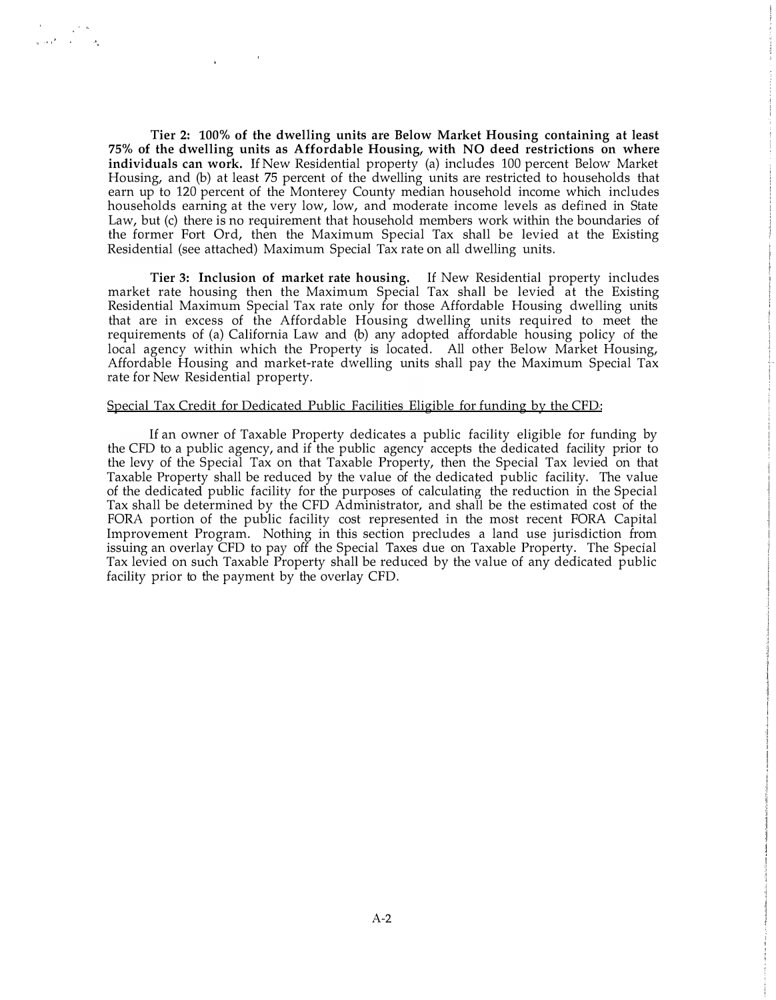**Tier 2: 100% of the dwelling units are Below Market Housing containing at least 75% of the dwelling units as Affordable Housing, with NO deed restrictions on where individuals can work.** If New Residential property (a) includes 100 percent Below Market Housing, and (b) at least 75 percent of the dwelling units are restricted to households that earn up to 120 percent of the Monterey County median household income which includes households earning at the very low, low, and moderate income levels as defined in State Law, but (c) there is no requirement that household members work within the boundaries of the former Fort Ord, then the Maximum Special Tax shall be levied at the Existing Residential (see attached) Maximum Special Tax rate on all dwelling units.

المستعمله

**Tier 3: Inclusion of market rate housing.** If New Residential property includes market rate housing then the Maximum Special Tax shall be levied at the Existing Residential Maximum Special Tax rate only for those Affordable Housing dwelling units that are in excess of the Affordable Housing dwelling units required to meet the requirements of (a) California Law and (b) any adopted affordable housing policy of the local agency within which the Property is located. All other Below Market Housing, Affordable Housing and market-rate dwelling units shall pay the Maximum Special Tax rate for New Residential property.

#### Special Tax Credit for Dedicated Public Facilities Eligible for funding by the CPD:

If an owner of Taxable Property dedicates a public facility eligible for funding by the CFD to a public agency, and if the public agency accepts the dedicated facility prior to the levy of the Special Tax on that Taxable Property, then the Special Tax levied on that Taxable Property shall be reduced by the value of the dedicated public facility. The value of the dedicated public facility for the purposes of calculating the reduction in the Special Tax shall be determined by the CPD Administrator, and shall be the estimated cost of the FORA portion of the public facility cost represented in the most recent FORA Capital Improvement Program. Nothing in this section precludes a land use jurisdiction from issuing an overlay CPD to pay off the Special Taxes due on Taxable Property. The Special Tax levied on such Taxable Property shall be reduced by the value of any dedicated public facility prior to the payment by the overlay CPD.